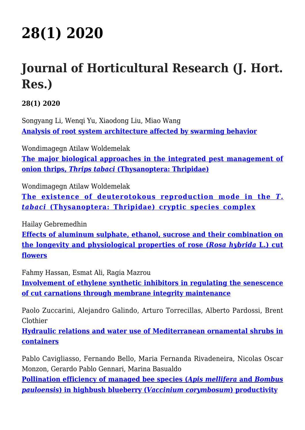## **[28\(1\) 2020](http://www.inhort.pl/journal-of-horticultural-research/281-2020/)**

## **Journal of Horticultural Research (J. Hort. Res.)**

**28(1) 2020**

Songyang Li, Wenqi Yu, Xiaodong Liu, Miao Wang **[Analysis of root system architecture affected by swarming behavior](https://content.sciendo.com/view/journals/johr/28/1/article-p1.xml)**

Wondimagegn Atilaw Woldemelak **[The major biological approaches in the integrated pest management of](https://content.sciendo.com/view/journals/johr/28/1/article-p13.xml) [onion thrips,](https://content.sciendo.com/view/journals/johr/28/1/article-p13.xml)** *[Thrips tabaci](https://content.sciendo.com/view/journals/johr/28/1/article-p13.xml)* **[\(Thysanoptera: Thripidae\)](https://content.sciendo.com/view/journals/johr/28/1/article-p13.xml)**

Wondimagegn Atilaw Woldemelak

**[The existence of deuterotokous reproduction mode in the](https://content.sciendo.com/view/journals/johr/28/1/article-p21.xml)** *[T.](https://content.sciendo.com/view/journals/johr/28/1/article-p21.xml) [tabaci](https://content.sciendo.com/view/journals/johr/28/1/article-p21.xml)* **[\(Thysanoptera: Thripidae\) cryptic species complex](https://content.sciendo.com/view/journals/johr/28/1/article-p21.xml)**

Hailay Gebremedhin

**[Effects of aluminum sulphate, ethanol, sucrose and their combination on](https://content.sciendo.com/view/journals/johr/28/1/article-p29.xml) [the longevity and physiological properties of rose \(](https://content.sciendo.com/view/journals/johr/28/1/article-p29.xml)***[Rosa hybrida](https://content.sciendo.com/view/journals/johr/28/1/article-p29.xml)* **[L.\) cut](https://content.sciendo.com/view/journals/johr/28/1/article-p29.xml) [flowers](https://content.sciendo.com/view/journals/johr/28/1/article-p29.xml)**

Fahmy Hassan, Esmat Ali, Ragia Mazrou

**[Involvement of ethylene synthetic inhibitors in regulating the senescence](https://content.sciendo.com/view/journals/johr/28/1/article-p39.xml) [of cut carnations through membrane integrity maintenance](https://content.sciendo.com/view/journals/johr/28/1/article-p39.xml)**

Paolo Zuccarini, Alejandro Galindo, Arturo Torrecillas, Alberto Pardossi, Brent Clothier

**[Hydraulic relations and water use of Mediterranean ornamental shrubs in](https://content.sciendo.com/view/journals/johr/28/1/article-p49.xml) [containers](https://content.sciendo.com/view/journals/johr/28/1/article-p49.xml)**

Pablo Cavigliasso, Fernando Bello, Maria Fernanda Rivadeneira, Nicolas Oscar Monzon, Gerardo Pablo Gennari, Marina Basualdo **[Pollination efficiency of managed bee species \(](https://content.sciendo.com/view/journals/johr/28/1/article-p57.xml)***[Apis mellifera](https://content.sciendo.com/view/journals/johr/28/1/article-p57.xml)* **[and](https://content.sciendo.com/view/journals/johr/28/1/article-p57.xml)** *[Bombus](https://content.sciendo.com/view/journals/johr/28/1/article-p57.xml) [pauloensis](https://content.sciendo.com/view/journals/johr/28/1/article-p57.xml)***[\) in highbush blueberry \(](https://content.sciendo.com/view/journals/johr/28/1/article-p57.xml)***[Vaccinium corymbosum](https://content.sciendo.com/view/journals/johr/28/1/article-p57.xml)***[\) productivity](https://content.sciendo.com/view/journals/johr/28/1/article-p57.xml)**